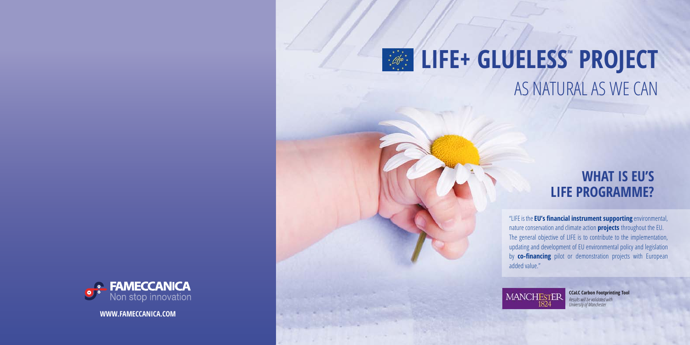# **LIFE+ GLUELESS<sup>®</sup> PROJECT** AS NATURAL AS WE CAN



# **WHAT IS EU'S LIFE PROGRAMME?**

**CCaLC Carbon Footprinting Tool**  *Results will be validated with University of Manchester*

**WWW.FAMECCANICA.COM**

"LIFE is the **EU's financial instrument supporting** environmental, nature conservation and climate action **projects** throughout the EU. The general objective of LIFE is to contribute to the implementation, updating and development of EU environmental policy and legislation by **co-financing** pilot or demonstration projects with European added value."